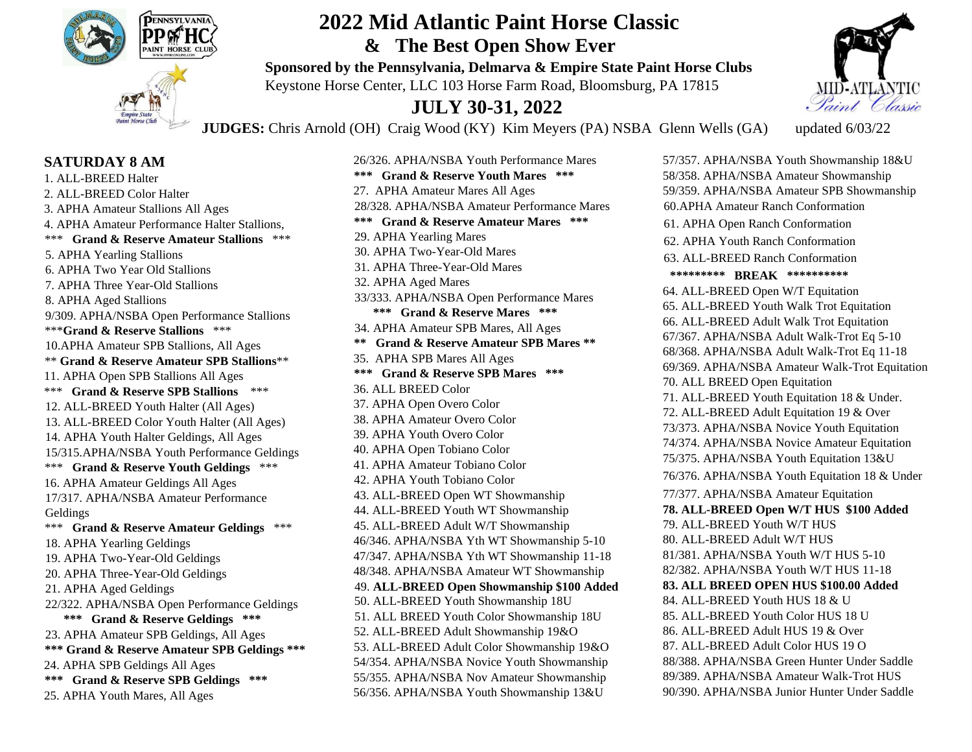

# **2022 Mid Atlantic Paint Horse Classic EXECUTE:**  $\mathbf{\hat{x}}$  The Best Open Show Ever

**Sponsored by the Pennsylvania, Delmarva & Empire State Paint Horse Clubs** Keystone Horse Center, LLC 103 Horse Farm Road, Bloomsburg, PA 17815

## **JULY 30-31, 2022**

26/326. APHA/NSBA Youth Performance Mares **\*\*\* Grand & Reserve Youth Mares \*\*\*** 

28/328. APHA/NSBA Amateur Performance Mares **\*\*\* Grand & Reserve Amateur Mares \*\*\*** 

33/333. APHA/NSBA Open Performance Mares **\*\*\* Grand & Reserve Mares \*\*\***  34. APHA Amateur SPB Mares, All Ages **\*\* Grand & Reserve Amateur SPB Mares \*\*** 

27. APHA Amateur Mares All Ages

29. APHA Yearling Mares 30. APHA Two-Year-Old Mares 31. APHA Three-Year-Old Mares

32. APHA Aged Mares

36. ALL BREED Color

35. APHA SPB Mares All Ages

**\*\*\* Grand & Reserve SPB Mares \*\*\*** 



**JUDGES:** Chris Arnold (OH) Craig Wood (KY) Kim Meyers (PA) NSBA Glenn Wells (GA) updated 6/03/22

**SATURDAY 8 AM**  1. ALL-BREED Halter 2. ALL-BREED Color Halter 3. APHA Amateur Stallions All Ages 4. APHA Amateur Performance Halter Stallions, \*\*\* **Grand & Reserve Amateur Stallions** \*\*\* 5. APHA Yearling Stallions 6. APHA Two Year Old Stallions 7. APHA Three Year-Old Stallions 8. APHA Aged Stallions 9/309. APHA/NSBA Open Performance Stallions \*\*\***Grand & Reserve Stallions** \*\*\* 10.APHA Amateur SPB Stallions, All Ages \*\* **Grand & Reserve Amateur SPB Stallions**\*\* 11. APHA Open SPB Stallions All Ages \*\*\* **Grand & Reserve SPB Stallions** \*\*\* 12. ALL-BREED Youth Halter (All Ages) 13. ALL-BREED Color Youth Halter (All Ages) 14. APHA Youth Halter Geldings, All Ages 15/315.APHA/NSBA Youth Performance Geldings \*\*\* **Grand & Reserve Youth Geldings** \*\*\* 16. APHA Amateur Geldings All Ages 17/317. APHA/NSBA Amateur Performance Geldings \*\*\* **Grand & Reserve Amateur Geldings** \*\*\* 18. APHA Yearling Geldings 19. APHA Two-Year-Old Geldings 20. APHA Three-Year-Old Geldings 21. APHA Aged Geldings 22/322. APHA/NSBA Open Performance Geldings **\*\*\* Grand & Reserve Geldings \*\*\***  23. APHA Amateur SPB Geldings, All Ages **\*\*\* Grand & Reserve Amateur SPB Geldings \*\*\***  24. APHA SPB Geldings All Ages **\*\*\* Grand & Reserve SPB Geldings \*\*\***  25. APHA Youth Mares, All Ages

37. APHA Open Overo Color 38. APHA Amateur Overo Color 39. APHA Youth Overo Color 40. APHA Open Tobiano Color 41. APHA Amateur Tobiano Color 42. APHA Youth Tobiano Color 43. ALL-BREED Open WT Showmanship 44. ALL-BREED Youth WT Showmanship 45. ALL-BREED Adult W/T Showmanship 46/346. APHA/NSBA Yth WT Showmanship 5-10 47/347. APHA/NSBA Yth WT Showmanship 11-18 48/348. APHA/NSBA Amateur WT Showmanship 49. **ALL-BREED Open Showmanship \$100 Added** 50. ALL-BREED Youth Showmanship 18U 51. ALL BREED Youth Color Showmanship 18U 52. ALL-BREED Adult Showmanship 19&O 53. ALL-BREED Adult Color Showmanship 19&O 54/354. APHA/NSBA Novice Youth Showmanship 55/355. APHA/NSBA Nov Amateur Showmanship 56/356. APHA/NSBA Youth Showmanship 13&U

57/357. APHA/NSBA Youth Showmanship 18&U 58/358. APHA/NSBA Amateur Showmanship 59/359. APHA/NSBA Amateur SPB Showmanship 60.APHA Amateur Ranch Conformation 61. APHA Open Ranch Conformation 62. APHA Youth Ranch Conformation 63. ALL-BREED Ranch Conformation  **\*\*\*\*\*\*\*\*\* BREAK \*\*\*\*\*\*\*\*\*\***  64. ALL-BREED Open W/T Equitation 65. ALL-BREED Youth Walk Trot Equitation 66. ALL-BREED Adult Walk Trot Equitation 67/367. APHA/NSBA Adult Walk-Trot Eq 5-10 68/368. APHA/NSBA Adult Walk-Trot Eq 11-18 69/369. APHA/NSBA Amateur Walk-Trot Equitation 70. ALL BREED Open Equitation 71. ALL-BREED Youth Equitation 18 & Under. 72. ALL-BREED Adult Equitation 19 & Over 73/373. APHA/NSBA Novice Youth Equitation 74/374. APHA/NSBA Novice Amateur Equitation 75/375. APHA/NSBA Youth Equitation 13&U 76/376. APHA/NSBA Youth Equitation 18 & Under 77/377. APHA/NSBA Amateur Equitation **78. ALL-BREED Open W/T HUS \$100 Added** 79. ALL-BREED Youth W/T HUS 80. ALL-BREED Adult W/T HUS 81/381. APHA/NSBA Youth W/T HUS 5-10 82/382. APHA/NSBA Youth W/T HUS 11-18 **83. ALL BREED OPEN HUS \$100.00 Added** 84. ALL-BREED Youth HUS 18 & U 85. ALL-BREED Youth Color HUS 18 U 86. ALL-BREED Adult HUS 19 & Over 87. ALL-BREED Adult Color HUS 19 O 88/388. APHA/NSBA Green Hunter Under Saddle 89/389. APHA/NSBA Amateur Walk-Trot HUS 90/390. APHA/NSBA Junior Hunter Under Saddle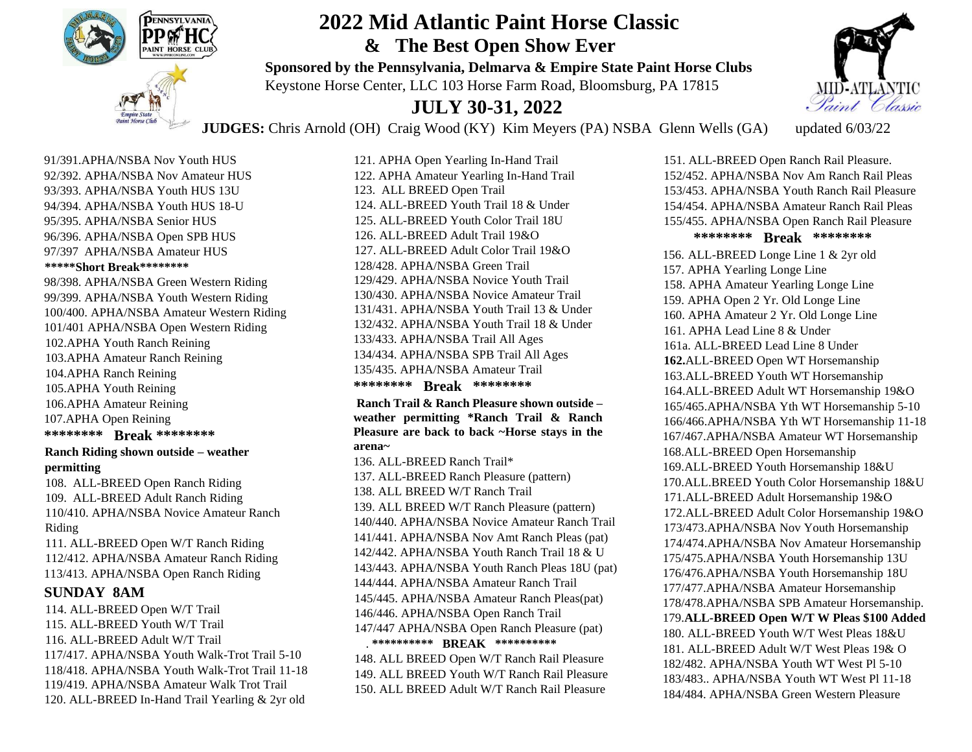

# **2022 Mid Atlantic Paint Horse Classic EXECUTE:** THE BEST Open Show Ever

**Sponsored by the Pennsylvania, Delmarva & Empire State Paint Horse Clubs** Keystone Horse Center, LLC 103 Horse Farm Road, Bloomsburg, PA 17815

### **JULY 30-31, 2022**

**JUDGES:** Chris Arnold (OH) Craig Wood (KY) Kim Meyers (PA) NSBA Glenn Wells (GA) updated 6/03/22



91/391.APHA/NSBA Nov Youth HUS 92/392. APHA/NSBA Nov Amateur HUS 93/393. APHA/NSBA Youth HUS 13U 94/394. APHA/NSBA Youth HUS 18-U 95/395. APHA/NSBA Senior HUS 96/396. APHA/NSBA Open SPB HUS 97/397 APHA/NSBA Amateur HUS **\*\*\*\*\*Short Break\*\*\*\*\*\*\*\*** 

98/398. APHA/NSBA Green Western Riding 99/399. APHA/NSBA Youth Western Riding 100/400. APHA/NSBA Amateur Western Riding 101/401 APHA/NSBA Open Western Riding 102.APHA Youth Ranch Reining 103.APHA Amateur Ranch Reining 104.APHA Ranch Reining 105.APHA Youth Reining 106.APHA Amateur Reining 107.APHA Open Reining **\*\*\*\*\*\*\*\* Break \*\*\*\*\*\*\*\*** 

#### **Ranch Riding shown outside – weather permitting**

108. ALL-BREED Open Ranch Riding 109. ALL-BREED Adult Ranch Riding 110/410. APHA/NSBA Novice Amateur Ranch Riding

111. ALL-BREED Open W/T Ranch Riding 112/412. APHA/NSBA Amateur Ranch Riding 113/413. APHA/NSBA Open Ranch Riding

#### **SUNDAY 8AM**

114. ALL-BREED Open W/T Trail 115. ALL-BREED Youth W/T Trail 116. ALL-BREED Adult W/T Trail 117/417. APHA/NSBA Youth Walk-Trot Trail 5-10 118/418. APHA/NSBA Youth Walk-Trot Trail 11-18 119/419. APHA/NSBA Amateur Walk Trot Trail 120. ALL-BREED In-Hand Trail Yearling & 2yr old

121. APHA Open Yearling In-Hand Trail 122. APHA Amateur Yearling In-Hand Trail 123. ALL BREED Open Trail 124. ALL-BREED Youth Trail 18 & Under 125. ALL-BREED Youth Color Trail 18U 126. ALL-BREED Adult Trail 19&O 127. ALL-BREED Adult Color Trail 19&O 128/428. APHA/NSBA Green Trail 129/429. APHA/NSBA Novice Youth Trail 130/430. APHA/NSBA Novice Amateur Trail 131/431. APHA/NSBA Youth Trail 13 & Under 132/432. APHA/NSBA Youth Trail 18 & Under 133/433. APHA/NSBA Trail All Ages 134/434. APHA/NSBA SPB Trail All Ages 135/435. APHA/NSBA Amateur Trail **\*\*\*\*\*\*\*\* Break \*\*\*\*\*\*\*\*** 

**Ranch Trail & Ranch Pleasure shown outside – weather permitting \*Ranch Trail & Ranch Pleasure are back to back ~Horse stays in the arena~** 

136. ALL-BREED Ranch Trail\* 137. ALL-BREED Ranch Pleasure (pattern) 138. ALL BREED W/T Ranch Trail 139. ALL BREED W/T Ranch Pleasure (pattern) 140/440. APHA/NSBA Novice Amateur Ranch Trail 141/441. APHA/NSBA Nov Amt Ranch Pleas (pat) 142/442. APHA/NSBA Youth Ranch Trail 18 & U 143/443. APHA/NSBA Youth Ranch Pleas 18U (pat) 144/444. APHA/NSBA Amateur Ranch Trail 145/445. APHA/NSBA Amateur Ranch Pleas(pat) 146/446. APHA/NSBA Open Ranch Trail 147/447 APHA/NSBA Open Ranch Pleasure (pat) . **\*\*\*\*\*\*\*\*\*\* BREAK \*\*\*\*\*\*\*\*\*\***  148. ALL BREED Open W/T Ranch Rail Pleasure 149. ALL BREED Youth W/T Ranch Rail Pleasure 150. ALL BREED Adult W/T Ranch Rail Pleasure

151. ALL-BREED Open Ranch Rail Pleasure. 152/452. APHA/NSBA Nov Am Ranch Rail Pleas 153/453. APHA/NSBA Youth Ranch Rail Pleasure 154/454. APHA/NSBA Amateur Ranch Rail Pleas 155/455. APHA/NSBA Open Ranch Rail Pleasure  **\*\*\*\*\*\*\*\* Break \*\*\*\*\*\*\*\***  156. ALL-BREED Longe Line 1 & 2yr old 157. APHA Yearling Longe Line 158. APHA Amateur Yearling Longe Line 159. APHA Open 2 Yr. Old Longe Line 160. APHA Amateur 2 Yr. Old Longe Line 161. APHA Lead Line 8 & Under 161a. ALL-BREED Lead Line 8 Under **162.**ALL-BREED Open WT Horsemanship 163.ALL-BREED Youth WT Horsemanship 164.ALL-BREED Adult WT Horsemanship 19&O 165/465.APHA/NSBA Yth WT Horsemanship 5-10 166/466.APHA/NSBA Yth WT Horsemanship 11-18 167/467.APHA/NSBA Amateur WT Horsemanship 168.ALL-BREED Open Horsemanship 169.ALL-BREED Youth Horsemanship 18&U 170.ALL.BREED Youth Color Horsemanship 18&U 171.ALL-BREED Adult Horsemanship 19&O 172.ALL-BREED Adult Color Horsemanship 19&O 173/473.APHA/NSBA Nov Youth Horsemanship 174/474.APHA/NSBA Nov Amateur Horsemanship 175/475.APHA/NSBA Youth Horsemanship 13U 176/476.APHA/NSBA Youth Horsemanship 18U 177/477.APHA/NSBA Amateur Horsemanship 178/478.APHA/NSBA SPB Amateur Horsemanship. 179.**ALL-BREED Open W/T W Pleas \$100 Added** 180. ALL-BREED Youth W/T West Pleas 18&U 181. ALL-BREED Adult W/T West Pleas 19& O 182/482. APHA/NSBA Youth WT West Pl 5-10 183/483.. APHA/NSBA Youth WT West Pl 11-18 184/484. APHA/NSBA Green Western Pleasure